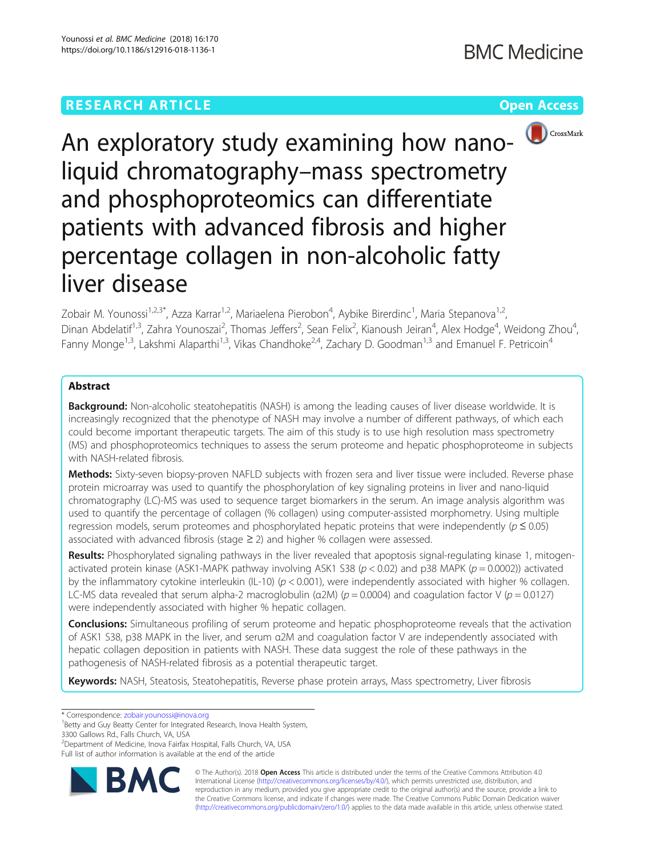# **RESEARCH ARTICLE Example 2014 12:30 The Contract of Contract ACCESS**





An exploratory study examining how nanoliquid chromatography–mass spectrometry and phosphoproteomics can differentiate patients with advanced fibrosis and higher percentage collagen in non-alcoholic fatty liver disease

Zobair M. Younossi<sup>1,2,3\*</sup>, Azza Karrar<sup>1,2</sup>, Mariaelena Pierobon<sup>4</sup>, Aybike Birerdinc<sup>1</sup>, Maria Stepanova<sup>1,2</sup>, Dinan Abdelatif<sup>1,3</sup>, Zahra Younoszai<sup>2</sup>, Thomas Jeffers<sup>2</sup>, Sean Felix<sup>2</sup>, Kianoush Jeiran<sup>4</sup>, Alex Hodge<sup>4</sup>, Weidong Zhou<sup>4</sup> , Fanny Monge<sup>1,3</sup>, Lakshmi Alaparthi<sup>1,3</sup>, Vikas Chandhoke<sup>2,4</sup>, Zachary D. Goodman<sup>1,3</sup> and Emanuel F. Petricoin<sup>4</sup>

## Abstract

**Background:** Non-alcoholic steatohepatitis (NASH) is among the leading causes of liver disease worldwide. It is increasingly recognized that the phenotype of NASH may involve a number of different pathways, of which each could become important therapeutic targets. The aim of this study is to use high resolution mass spectrometry (MS) and phosphoproteomics techniques to assess the serum proteome and hepatic phosphoproteome in subjects with NASH-related fibrosis.

Methods: Sixty-seven biopsy-proven NAFLD subjects with frozen sera and liver tissue were included. Reverse phase protein microarray was used to quantify the phosphorylation of key signaling proteins in liver and nano-liquid chromatography (LC)-MS was used to sequence target biomarkers in the serum. An image analysis algorithm was used to quantify the percentage of collagen (% collagen) using computer-assisted morphometry. Using multiple regression models, serum proteomes and phosphorylated hepatic proteins that were independently ( $p \le 0.05$ ) associated with advanced fibrosis (stage  $\geq$  2) and higher % collagen were assessed.

Results: Phosphorylated signaling pathways in the liver revealed that apoptosis signal-regulating kinase 1, mitogenactivated protein kinase (ASK1-MAPK pathway involving ASK1 S38 ( $p < 0.02$ ) and p38 MAPK ( $p = 0.0002$ )) activated by the inflammatory cytokine interleukin (IL-10) ( $p < 0.001$ ), were independently associated with higher % collagen. LC-MS data revealed that serum alpha-2 macroglobulin ( $a2M$ ) ( $p = 0.0004$ ) and coagulation factor V ( $p = 0.0127$ ) were independently associated with higher % hepatic collagen.

**Conclusions:** Simultaneous profiling of serum proteome and hepatic phosphoproteome reveals that the activation of ASK1 S38, p38 MAPK in the liver, and serum α2M and coagulation factor V are independently associated with hepatic collagen deposition in patients with NASH. These data suggest the role of these pathways in the pathogenesis of NASH-related fibrosis as a potential therapeutic target.

Keywords: NASH, Steatosis, Steatohepatitis, Reverse phase protein arrays, Mass spectrometry, Liver fibrosis

\* Correspondence: [zobair.younossi@inova.org](mailto:zobair.younossi@inova.org) <sup>1</sup>

<sup>1</sup>Betty and Guy Beatty Center for Integrated Research, Inova Health System, 3300 Gallows Rd., Falls Church, VA, USA

<sup>2</sup> Department of Medicine, Inova Fairfax Hospital, Falls Church, VA, USA Full list of author information is available at the end of the article



© The Author(s). 2018 Open Access This article is distributed under the terms of the Creative Commons Attribution 4.0 International License [\(http://creativecommons.org/licenses/by/4.0/](http://creativecommons.org/licenses/by/4.0/)), which permits unrestricted use, distribution, and reproduction in any medium, provided you give appropriate credit to the original author(s) and the source, provide a link to the Creative Commons license, and indicate if changes were made. The Creative Commons Public Domain Dedication waiver [\(http://creativecommons.org/publicdomain/zero/1.0/](http://creativecommons.org/publicdomain/zero/1.0/)) applies to the data made available in this article, unless otherwise stated.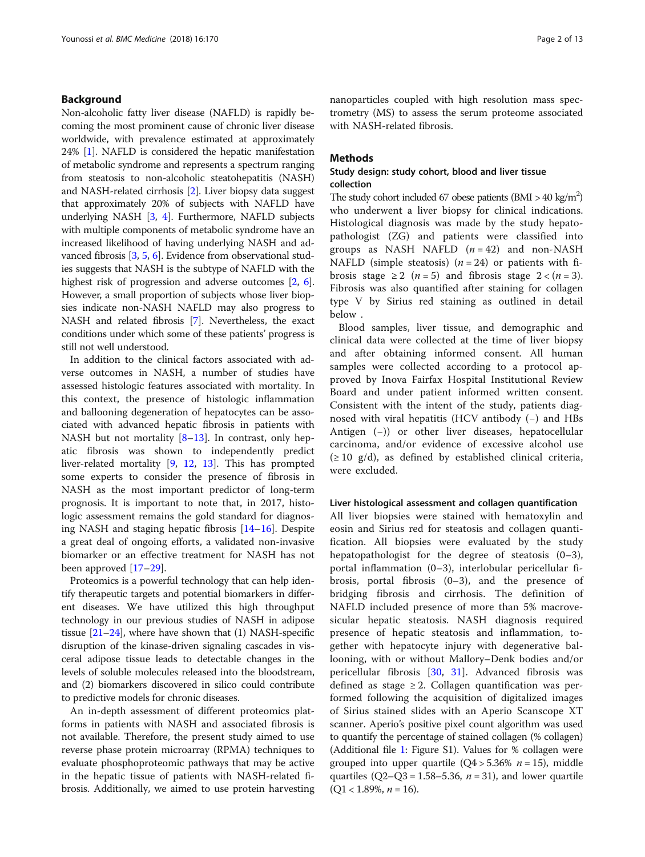### Background

Non-alcoholic fatty liver disease (NAFLD) is rapidly becoming the most prominent cause of chronic liver disease worldwide, with prevalence estimated at approximately 24% [\[1\]](#page-11-0). NAFLD is considered the hepatic manifestation of metabolic syndrome and represents a spectrum ranging from steatosis to non-alcoholic steatohepatitis (NASH) and NASH-related cirrhosis [[2](#page-11-0)]. Liver biopsy data suggest that approximately 20% of subjects with NAFLD have underlying NASH [\[3](#page-11-0), [4\]](#page-11-0). Furthermore, NAFLD subjects with multiple components of metabolic syndrome have an increased likelihood of having underlying NASH and advanced fibrosis [[3](#page-11-0), [5](#page-11-0), [6\]](#page-11-0). Evidence from observational studies suggests that NASH is the subtype of NAFLD with the highest risk of progression and adverse outcomes [\[2](#page-11-0), [6](#page-11-0)]. However, a small proportion of subjects whose liver biopsies indicate non-NASH NAFLD may also progress to NASH and related fibrosis [\[7](#page-11-0)]. Nevertheless, the exact conditions under which some of these patients' progress is still not well understood.

In addition to the clinical factors associated with adverse outcomes in NASH, a number of studies have assessed histologic features associated with mortality. In this context, the presence of histologic inflammation and ballooning degeneration of hepatocytes can be associated with advanced hepatic fibrosis in patients with NASH but not mortality  $[8-13]$  $[8-13]$  $[8-13]$  $[8-13]$ . In contrast, only hepatic fibrosis was shown to independently predict liver-related mortality [[9,](#page-11-0) [12](#page-12-0), [13\]](#page-12-0). This has prompted some experts to consider the presence of fibrosis in NASH as the most important predictor of long-term prognosis. It is important to note that, in 2017, histologic assessment remains the gold standard for diagnosing NASH and staging hepatic fibrosis [\[14](#page-12-0)–[16\]](#page-12-0). Despite a great deal of ongoing efforts, a validated non-invasive biomarker or an effective treatment for NASH has not been approved [[17](#page-12-0)–[29](#page-12-0)].

Proteomics is a powerful technology that can help identify therapeutic targets and potential biomarkers in different diseases. We have utilized this high throughput technology in our previous studies of NASH in adipose tissue [[21](#page-12-0)–[24\]](#page-12-0), where have shown that (1) NASH-specific disruption of the kinase-driven signaling cascades in visceral adipose tissue leads to detectable changes in the levels of soluble molecules released into the bloodstream, and (2) biomarkers discovered in silico could contribute to predictive models for chronic diseases.

An in-depth assessment of different proteomics platforms in patients with NASH and associated fibrosis is not available. Therefore, the present study aimed to use reverse phase protein microarray (RPMA) techniques to evaluate phosphoproteomic pathways that may be active in the hepatic tissue of patients with NASH-related fibrosis. Additionally, we aimed to use protein harvesting nanoparticles coupled with high resolution mass spectrometry (MS) to assess the serum proteome associated with NASH-related fibrosis.

### **Methods**

### Study design: study cohort, blood and liver tissue collection

The study cohort included 67 obese patients  $(BMI > 40 \text{ kg/m}^2)$ who underwent a liver biopsy for clinical indications. Histological diagnosis was made by the study hepatopathologist (ZG) and patients were classified into groups as NASH NAFLD  $(n = 42)$  and non-NASH NAFLD (simple steatosis)  $(n = 24)$  or patients with fibrosis stage  $\geq 2$  (*n* = 5) and fibrosis stage  $2 < (n = 3)$ . Fibrosis was also quantified after staining for collagen type V by Sirius red staining as outlined in detail below .

Blood samples, liver tissue, and demographic and clinical data were collected at the time of liver biopsy and after obtaining informed consent. All human samples were collected according to a protocol approved by Inova Fairfax Hospital Institutional Review Board and under patient informed written consent. Consistent with the intent of the study, patients diagnosed with viral hepatitis (HCV antibody (−) and HBs Antigen (−)) or other liver diseases, hepatocellular carcinoma, and/or evidence of excessive alcohol use  $(\geq 10 \text{ g/d})$ , as defined by established clinical criteria, were excluded.

#### Liver histological assessment and collagen quantification

All liver biopsies were stained with hematoxylin and eosin and Sirius red for steatosis and collagen quantification. All biopsies were evaluated by the study hepatopathologist for the degree of steatosis (0–3), portal inflammation (0–3), interlobular pericellular fibrosis, portal fibrosis (0–3), and the presence of bridging fibrosis and cirrhosis. The definition of NAFLD included presence of more than 5% macrovesicular hepatic steatosis. NASH diagnosis required presence of hepatic steatosis and inflammation, together with hepatocyte injury with degenerative ballooning, with or without Mallory–Denk bodies and/or pericellular fibrosis [[30,](#page-12-0) [31\]](#page-12-0). Advanced fibrosis was defined as stage  $\geq 2$ . Collagen quantification was performed following the acquisition of digitalized images of Sirius stained slides with an Aperio Scanscope XT scanner. Aperio's positive pixel count algorithm was used to quantify the percentage of stained collagen (% collagen) (Additional file [1](#page-11-0): Figure S1). Values for % collagen were grouped into upper quartile  $(Q4 > 5.36\%$   $n = 15)$ , middle quartiles  $(Q2-Q3 = 1.58-5.36, n = 31)$ , and lower quartile  $(Q1 < 1.89\%, n = 16)$ .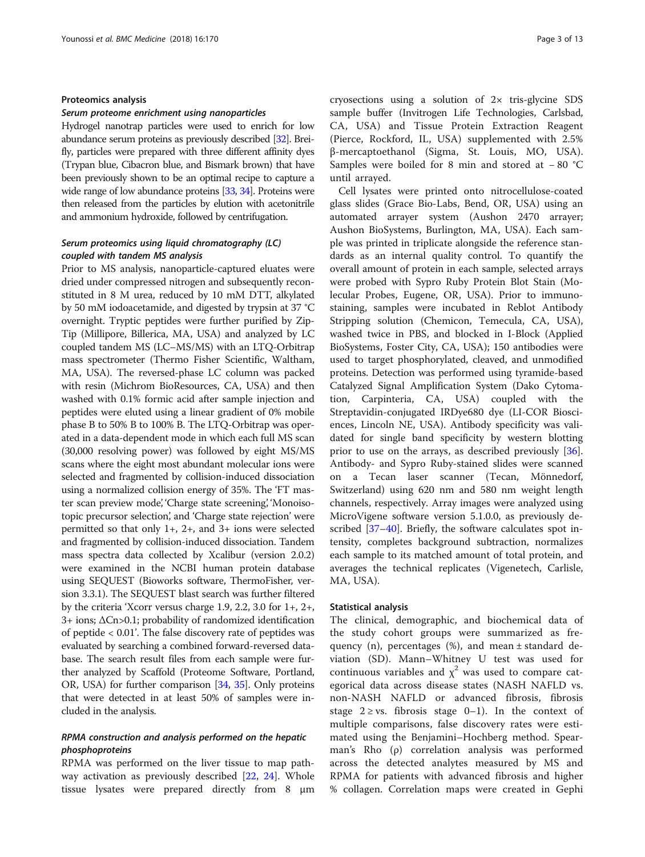#### Proteomics analysis

#### Serum proteome enrichment using nanoparticles

Hydrogel nanotrap particles were used to enrich for low abundance serum proteins as previously described [\[32](#page-12-0)]. Breifly, particles were prepared with three different affinity dyes (Trypan blue, Cibacron blue, and Bismark brown) that have been previously shown to be an optimal recipe to capture a wide range of low abundance proteins [\[33](#page-12-0), [34\]](#page-12-0). Proteins were then released from the particles by elution with acetonitrile and ammonium hydroxide, followed by centrifugation.

### Serum proteomics using liquid chromatography (LC) coupled with tandem MS analysis

Prior to MS analysis, nanoparticle-captured eluates were dried under compressed nitrogen and subsequently reconstituted in 8 M urea, reduced by 10 mM DTT, alkylated by 50 mM iodoacetamide, and digested by trypsin at 37 °C overnight. Tryptic peptides were further purified by Zip-Tip (Millipore, Billerica, MA, USA) and analyzed by LC coupled tandem MS (LC–MS/MS) with an LTQ-Orbitrap mass spectrometer (Thermo Fisher Scientific, Waltham, MA, USA). The reversed-phase LC column was packed with resin (Michrom BioResources, CA, USA) and then washed with 0.1% formic acid after sample injection and peptides were eluted using a linear gradient of 0% mobile phase B to 50% B to 100% B. The LTQ-Orbitrap was operated in a data-dependent mode in which each full MS scan (30,000 resolving power) was followed by eight MS/MS scans where the eight most abundant molecular ions were selected and fragmented by collision-induced dissociation using a normalized collision energy of 35%. The 'FT master scan preview mode', 'Charge state screening', 'Monoisotopic precursor selection', and 'Charge state rejection' were permitted so that only 1+, 2+, and 3+ ions were selected and fragmented by collision-induced dissociation. Tandem mass spectra data collected by Xcalibur (version 2.0.2) were examined in the NCBI human protein database using SEQUEST (Bioworks software, ThermoFisher, version 3.3.1). The SEQUEST blast search was further filtered by the criteria 'Xcorr versus charge 1.9, 2.2, 3.0 for 1+, 2+, 3+ ions; ΔCn>0.1; probability of randomized identification of peptide < 0.01'. The false discovery rate of peptides was evaluated by searching a combined forward-reversed database. The search result files from each sample were further analyzed by Scaffold (Proteome Software, Portland, OR, USA) for further comparison [\[34,](#page-12-0) [35](#page-12-0)]. Only proteins that were detected in at least 50% of samples were included in the analysis.

### RPMA construction and analysis performed on the hepatic phosphoproteins

RPMA was performed on the liver tissue to map pathway activation as previously described [[22,](#page-12-0) [24](#page-12-0)]. Whole tissue lysates were prepared directly from 8 μm cryosections using a solution of 2× tris-glycine SDS sample buffer (Invitrogen Life Technologies, Carlsbad, CA, USA) and Tissue Protein Extraction Reagent (Pierce, Rockford, IL, USA) supplemented with 2.5% β-mercaptoethanol (Sigma, St. Louis, MO, USA). Samples were boiled for 8 min and stored at − 80 °C until arrayed.

Cell lysates were printed onto nitrocellulose-coated glass slides (Grace Bio-Labs, Bend, OR, USA) using an automated arrayer system (Aushon 2470 arrayer; Aushon BioSystems, Burlington, MA, USA). Each sample was printed in triplicate alongside the reference standards as an internal quality control. To quantify the overall amount of protein in each sample, selected arrays were probed with Sypro Ruby Protein Blot Stain (Molecular Probes, Eugene, OR, USA). Prior to immunostaining, samples were incubated in Reblot Antibody Stripping solution (Chemicon, Temecula, CA, USA), washed twice in PBS, and blocked in I-Block (Applied BioSystems, Foster City, CA, USA); 150 antibodies were used to target phosphorylated, cleaved, and unmodified proteins. Detection was performed using tyramide-based Catalyzed Signal Amplification System (Dako Cytomation, Carpinteria, CA, USA) coupled with the Streptavidin-conjugated IRDye680 dye (LI-COR Biosciences, Lincoln NE, USA). Antibody specificity was validated for single band specificity by western blotting prior to use on the arrays, as described previously [\[36](#page-12-0)]. Antibody- and Sypro Ruby-stained slides were scanned on a Tecan laser scanner (Tecan, Mönnedorf, Switzerland) using 620 nm and 580 nm weight length channels, respectively. Array images were analyzed using MicroVigene software version 5.1.0.0, as previously described [[37](#page-12-0)–[40](#page-12-0)]. Briefly, the software calculates spot intensity, completes background subtraction, normalizes each sample to its matched amount of total protein, and averages the technical replicates (Vigenetech, Carlisle, MA, USA).

#### Statistical analysis

The clinical, demographic, and biochemical data of the study cohort groups were summarized as frequency (n), percentages (%), and mean ± standard deviation (SD). Mann–Whitney U test was used for continuous variables and  $\chi^2$  was used to compare categorical data across disease states (NASH NAFLD vs. non-NASH NAFLD or advanced fibrosis, fibrosis stage  $2 \geq vs.$  fibrosis stage 0–1). In the context of multiple comparisons, false discovery rates were estimated using the Benjamini–Hochberg method. Spearman's Rho (ρ) correlation analysis was performed across the detected analytes measured by MS and RPMA for patients with advanced fibrosis and higher % collagen. Correlation maps were created in Gephi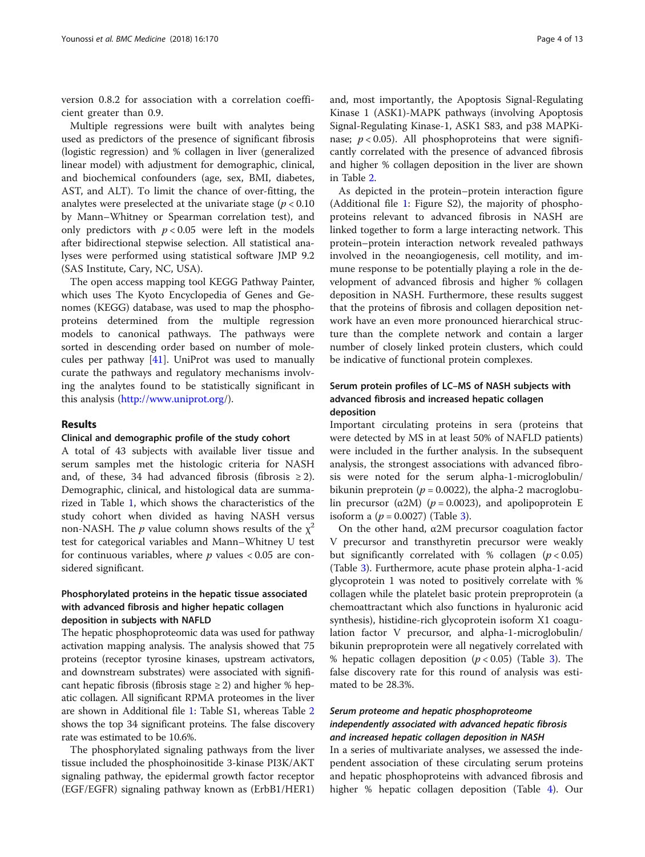version 0.8.2 for association with a correlation coefficient greater than 0.9.

Multiple regressions were built with analytes being used as predictors of the presence of significant fibrosis (logistic regression) and % collagen in liver (generalized linear model) with adjustment for demographic, clinical, and biochemical confounders (age, sex, BMI, diabetes, AST, and ALT). To limit the chance of over-fitting, the analytes were preselected at the univariate stage ( $p < 0.10$ ) by Mann–Whitney or Spearman correlation test), and only predictors with  $p < 0.05$  were left in the models after bidirectional stepwise selection. All statistical analyses were performed using statistical software JMP 9.2 (SAS Institute, Cary, NC, USA).

The open access mapping tool KEGG Pathway Painter, which uses The Kyoto Encyclopedia of Genes and Genomes (KEGG) database, was used to map the phosphoproteins determined from the multiple regression models to canonical pathways. The pathways were sorted in descending order based on number of molecules per pathway [[41\]](#page-12-0). UniProt was used to manually curate the pathways and regulatory mechanisms involving the analytes found to be statistically significant in this analysis ([http://www.uniprot.org/](http://www.uniprot.org)).

### Results

### Clinical and demographic profile of the study cohort

A total of 43 subjects with available liver tissue and serum samples met the histologic criteria for NASH and, of these, 34 had advanced fibrosis (fibrosis  $\geq$ 2). Demographic, clinical, and histological data are summarized in Table [1,](#page-4-0) which shows the characteristics of the study cohort when divided as having NASH versus non-NASH. The *p* value column shows results of the  $\chi^2$ test for categorical variables and Mann–Whitney U test for continuous variables, where  $p$  values < 0.05 are considered significant.

### Phosphorylated proteins in the hepatic tissue associated with advanced fibrosis and higher hepatic collagen deposition in subjects with NAFLD

The hepatic phosphoproteomic data was used for pathway activation mapping analysis. The analysis showed that 75 proteins (receptor tyrosine kinases, upstream activators, and downstream substrates) were associated with significant hepatic fibrosis (fibrosis stage  $\geq$  2) and higher % hepatic collagen. All significant RPMA proteomes in the liver are shown in Additional file [1](#page-11-0): Table S1, whereas Table [2](#page-5-0) shows the top 34 significant proteins. The false discovery rate was estimated to be 10.6%.

The phosphorylated signaling pathways from the liver tissue included the phosphoinositide 3-kinase PI3K/AKT signaling pathway, the epidermal growth factor receptor (EGF/EGFR) signaling pathway known as (ErbB1/HER1)

and, most importantly, the Apoptosis Signal-Regulating Kinase 1 (ASK1)-MAPK pathways (involving Apoptosis Signal-Regulating Kinase-1, ASK1 S83, and p38 MAPKinase;  $p < 0.05$ ). All phosphoproteins that were significantly correlated with the presence of advanced fibrosis and higher % collagen deposition in the liver are shown in Table [2.](#page-5-0)

As depicted in the protein–protein interaction figure (Additional file [1:](#page-11-0) Figure S2), the majority of phosphoproteins relevant to advanced fibrosis in NASH are linked together to form a large interacting network. This protein–protein interaction network revealed pathways involved in the neoangiogenesis, cell motility, and immune response to be potentially playing a role in the development of advanced fibrosis and higher % collagen deposition in NASH. Furthermore, these results suggest that the proteins of fibrosis and collagen deposition network have an even more pronounced hierarchical structure than the complete network and contain a larger number of closely linked protein clusters, which could be indicative of functional protein complexes.

### Serum protein profiles of LC–MS of NASH subjects with advanced fibrosis and increased hepatic collagen deposition

Important circulating proteins in sera (proteins that were detected by MS in at least 50% of NAFLD patients) were included in the further analysis. In the subsequent analysis, the strongest associations with advanced fibrosis were noted for the serum alpha-1-microglobulin/ bikunin preprotein ( $p = 0.0022$ ), the alpha-2 macroglobulin precursor ( $\alpha$ 2M) ( $p$  = 0.0023), and apolipoprotein E isoform a ( $p = 0.0027$ ) (Table [3](#page-6-0)).

On the other hand,  $\alpha$ 2M precursor coagulation factor V precursor and transthyretin precursor were weakly but significantly correlated with % collagen  $(p < 0.05)$ (Table [3](#page-6-0)). Furthermore, acute phase protein alpha-1-acid glycoprotein 1 was noted to positively correlate with % collagen while the platelet basic protein preproprotein (a chemoattractant which also functions in hyaluronic acid synthesis), histidine-rich glycoprotein isoform X1 coagulation factor V precursor, and alpha-1-microglobulin/ bikunin preproprotein were all negatively correlated with % hepatic collagen deposition  $(p < 0.05)$  (Table [3\)](#page-6-0). The false discovery rate for this round of analysis was estimated to be 28.3%.

### Serum proteome and hepatic phosphoproteome independently associated with advanced hepatic fibrosis and increased hepatic collagen deposition in NASH

In a series of multivariate analyses, we assessed the independent association of these circulating serum proteins and hepatic phosphoproteins with advanced fibrosis and higher % hepatic collagen deposition (Table [4](#page-7-0)). Our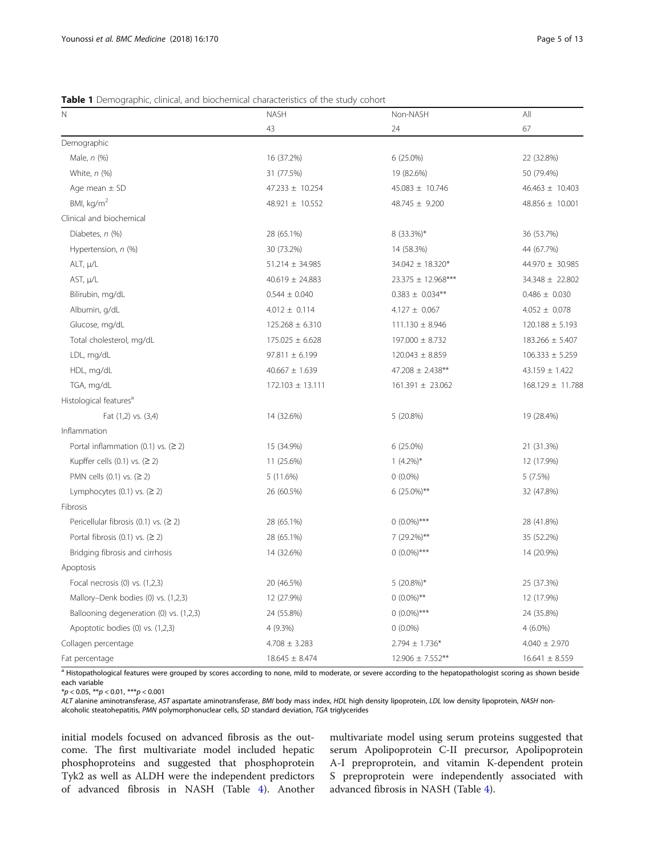### <span id="page-4-0"></span>Table 1 Demographic, clinical, and biochemical characteristics of the study cohort

| N                                       | <b>NASH</b>               | Non-NASH             | All                 |  |
|-----------------------------------------|---------------------------|----------------------|---------------------|--|
|                                         | 43                        | 24                   | 67                  |  |
| Demographic                             |                           |                      |                     |  |
| Male, n (%)                             | 16 (37.2%)                | 6 (25.0%)            | 22 (32.8%)          |  |
| White, $n$ (%)                          | 31 (77.5%)                | 19 (82.6%)           | 50 (79.4%)          |  |
| Age mean $\pm$ SD                       | 47.233 ± 10.254           | $45.083 \pm 10.746$  | $46.463 \pm 10.403$ |  |
| BMI, $kg/m2$                            | 48.921 ± 10.552           | 48.745 ± 9.200       | 48.856 ± 10.001     |  |
| Clinical and biochemical                |                           |                      |                     |  |
| Diabetes, n (%)                         | 28 (65.1%)                | 8 (33.3%)*           | 36 (53.7%)          |  |
| Hypertension, n (%)                     | 30 (73.2%)                | 14 (58.3%)           | 44 (67.7%)          |  |
| ALT, µ/L                                | $51.214 \pm 34.985$       | 34.042 ± 18.320*     | 44.970 ± 30.985     |  |
| AST, µ/L                                | $40.619 \pm 24.883$       | 23.375 ± 12.968***   | 34.348 ± 22.802     |  |
| Bilirubin, mg/dL                        | $0.544 \pm 0.040$         | $0.383 \pm 0.034**$  | $0.486 \pm 0.030$   |  |
| Albumin, g/dL                           | $4.012 \pm 0.114$         | $4.127 \pm 0.067$    | $4.052 \pm 0.078$   |  |
| Glucose, mg/dL                          | $125.268 \pm 6.310$       | $111.130 \pm 8.946$  | $120.188 \pm 5.193$ |  |
| Total cholesterol, mg/dL                | $175.025 \pm 6.628$       | 197.000 ± 8.732      | 183.266 ± 5.407     |  |
| LDL, mg/dL                              | $97.811 \pm 6.199$        | $120.043 \pm 8.859$  | $106.333 \pm 5.259$ |  |
| HDL, mg/dL                              | $40.667 \pm 1.639$        | 47.208 ± 2.438**     | $43.159 \pm 1.422$  |  |
| TGA, mg/dL                              | 172.103 ± 13.111          | $161.391 \pm 23.062$ | 168.129 ± 11.788    |  |
| Histological features <sup>a</sup>      |                           |                      |                     |  |
| Fat (1,2) vs. (3,4)                     | 14 (32.6%)                | 5 (20.8%)            | 19 (28.4%)          |  |
| Inflammation                            |                           |                      |                     |  |
| Portal inflammation $(0.1)$ vs. $(2 2)$ | 15 (34.9%)                | $6(25.0\%)$          | 21 (31.3%)          |  |
| Kupffer cells $(0.1)$ vs. $(2 2)$       | $1(4.2\%)*$<br>11 (25.6%) |                      | 12 (17.9%)          |  |
| PMN cells $(0.1)$ vs. $(≥ 2)$           | 5 (11.6%)                 | $0(0.0\%)$           |                     |  |
| Lymphocytes $(0.1)$ vs. $(2 2)$         | 26 (60.5%)                | $6(25.0\%)**$        | 32 (47.8%)          |  |
| Fibrosis                                |                           |                      |                     |  |
| Pericellular fibrosis (0.1) vs. $(2 2)$ | 28 (65.1%)                | $0(0.0\%)***$        | 28 (41.8%)          |  |
| Portal fibrosis $(0.1)$ vs. $(2 2)$     | 28 (65.1%)                | 7 (29.2%)**          | 35 (52.2%)          |  |
| Bridging fibrosis and cirrhosis         | 14 (32.6%)                | $0(0.0\%)$ ***       | 14 (20.9%)          |  |
| Apoptosis                               |                           |                      |                     |  |
| Focal necrosis $(0)$ vs. $(1,2,3)$      | 20 (46.5%)                | $5(20.8\%)*$         | 25 (37.3%)          |  |
| Mallory-Denk bodies (0) vs. (1,2,3)     | 12 (27.9%)                | $0(0.0\%)$ **        | 12 (17.9%)          |  |
| Ballooning degeneration (0) vs. (1,2,3) | 24 (55.8%)                | $0(0.0\%)***$        | 24 (35.8%)          |  |
| Apoptotic bodies (0) vs. (1,2,3)        | 4 (9.3%)                  | $0(0.0\%)$           | $4(6.0\%)$          |  |
| Collagen percentage                     | $4.708 \pm 3.283$         | $2.794 \pm 1.736*$   | $4.040 \pm 2.970$   |  |
| Fat percentage                          | $18.645 \pm 8.474$        | 12.906 ± 7.552**     | $16.641 \pm 8.559$  |  |

a Histopathological features were grouped by scores according to none, mild to moderate, or severe according to the hepatopathologist scoring as shown beside each variable

 $*p < 0.05$ ,  $**p < 0.01$ ,  $***p < 0.001$ 

ALT alanine aminotransferase, AST aspartate aminotransferase, BMI body mass index, HDL high density lipoprotein, LDL low density lipoprotein, NASH nonalcoholic steatohepatitis, PMN polymorphonuclear cells, SD standard deviation, TGA triglycerides

initial models focused on advanced fibrosis as the outcome. The first multivariate model included hepatic phosphoproteins and suggested that phosphoprotein Tyk2 as well as ALDH were the independent predictors of advanced fibrosis in NASH (Table [4](#page-7-0)). Another multivariate model using serum proteins suggested that serum Apolipoprotein C-II precursor, Apolipoprotein A-I preproprotein, and vitamin K-dependent protein S preproprotein were independently associated with advanced fibrosis in NASH (Table [4](#page-7-0)).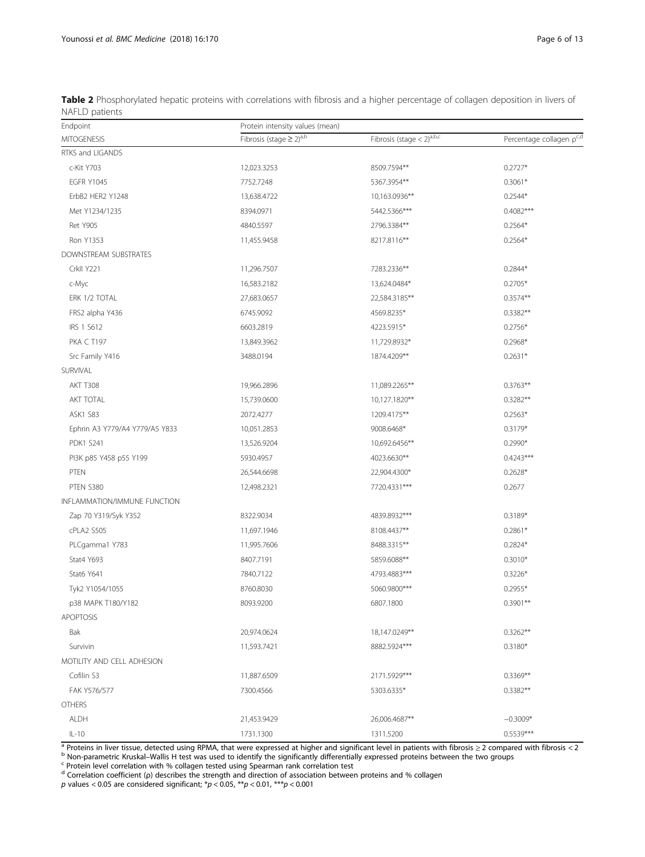<span id="page-5-0"></span>

| Table 2 Phosphorylated hepatic proteins with correlations with fibrosis and a higher percentage of collagen deposition in livers of |  |  |
|-------------------------------------------------------------------------------------------------------------------------------------|--|--|
| NAFLD patients                                                                                                                      |  |  |

| Endpoint                       | Protein intensity values (mean)          |                                         |                          |  |
|--------------------------------|------------------------------------------|-----------------------------------------|--------------------------|--|
| <b>MITOGENESIS</b>             | Fibrosis (stage $\geq$ 2) <sup>a,b</sup> | Fibrosis (stage $<$ 2) <sup>a,b,c</sup> | Percentage collagen pc,d |  |
| RTKS and LIGANDS               |                                          |                                         |                          |  |
| c-Kit Y703                     | 12,023.3253                              | 8509.7594**                             | $0.2727*$                |  |
| <b>EGFR Y1045</b>              | 7752.7248                                | 5367.3954**                             | $0.3061*$                |  |
| ErbB2 HER2 Y1248               | 13,638.4722                              | 10,163.0936**                           | $0.2544*$                |  |
| Met Y1234/1235                 | 8394.0971                                | 5442.5366***                            | $0.4082***$              |  |
| <b>Ret Y905</b>                | 4840.5597                                | 2796.3384**                             | $0.2564*$                |  |
| Ron Y1353                      | 11,455.9458                              | 8217.8116**                             | $0.2564*$                |  |
| DOWNSTREAM SUBSTRATES          |                                          |                                         |                          |  |
| CrkII Y221                     | 11,296.7507                              | 7283.2336**                             | 0.2844*                  |  |
| c-Myc                          | 16,583.2182                              | 13,624.0484*                            | $0.2705*$                |  |
| ERK 1/2 TOTAL                  | 27,683.0657                              | 22,584.3185**                           | $0.3574**$               |  |
| FRS2 alpha Y436                | 6745.9092                                | 4569.8235*                              | $0.3382**$               |  |
| IRS 1 S612                     | 6603.2819                                | 4223.5915*                              | $0.2756*$                |  |
| <b>PKA C T197</b>              | 13,849.3962                              | 11,729.8932*                            | $0.2968*$                |  |
| Src Family Y416                | 3488.0194                                | 1874.4209**                             | $0.2631*$                |  |
| SURVIVAL                       |                                          |                                         |                          |  |
| <b>AKT T308</b>                | 19,966.2896                              | 11,089.2265**                           | $0.3763**$               |  |
| AKT TOTAL                      | 15,739.0600                              | 10,127.1820**                           | $0.3282**$               |  |
| <b>ASK1 S83</b>                | 2072.4277                                | 1209.4175**                             | $0.2563*$                |  |
| Ephrin A3 Y779/A4 Y779/A5 Y833 | 10,051.2853                              | 9008.6468*                              | $0.3179*$                |  |
| <b>PDK1 S241</b>               | 13,526.9204                              | 10,692.6456**                           | $0.2990*$                |  |
| PI3K p85 Y458 p55 Y199         | 5930.4957                                | 4023.6630**                             | $0.4243***$              |  |
| PTEN                           | 26,544.6698                              | 22,904.4300*                            | $0.2628*$                |  |
| PTEN S380                      | 12,498.2321                              | 7720.4331***                            | 0.2677                   |  |
| INFLAMMATION/IMMUNE FUNCTION   |                                          |                                         |                          |  |
| Zap 70 Y319/Syk Y352           | 8322.9034                                | 4839.8932***                            | $0.3189*$                |  |
| cPLA2 S505                     | 11,697.1946                              | 8108.4437**                             | $0.2861*$                |  |
| PLCgamma1 Y783                 | 11,995.7606                              | 8488.3315**                             | $0.2824*$                |  |
| Stat4 Y693                     | 8407.7191                                | 5859.6088**                             | $0.3010*$                |  |
| Stat6 Y641                     | 7840.7122                                | 4793.4883***                            | $0.3226*$                |  |
| Tyk2 Y1054/1055                | 8760.8030                                | 5060.9800***                            | $0.2955*$                |  |
| p38 MAPK T180/Y182             | 8093.9200                                | 6807.1800                               | $0.3901**$               |  |
| <b>APOPTOSIS</b>               |                                          |                                         |                          |  |
| Bak                            | 20,974.0624                              | 18,147.0249**                           | $0.3262**$               |  |
| Survivin                       | 11,593.7421                              | 8882.5924***                            | $0.3180*$                |  |
| MOTILITY AND CELL ADHESION     |                                          |                                         |                          |  |
| Cofilin S3                     | 11,887.6509                              | 2171.5929***                            | 0.3369**                 |  |
| FAK Y576/577                   | 7300.4566                                | 5303.6335*                              | $0.3382**$               |  |
| <b>OTHERS</b>                  |                                          |                                         |                          |  |
| <b>ALDH</b>                    | 21,453.9429                              | 26,006.4687**                           | $-0.3009*$               |  |
| $IL-10$                        | 1731.1300                                | 1311.5200                               | $0.5539***$              |  |

Proteins in liver tissue, detected using RPMA, that were expressed at higher and significant level in patients with fibrosis  $\geq 2$  compared with fibrosis < 2<br>Non-parametric Kruskal–Wallis H test was used to identify the

<sup>d</sup> Correlation coefficient (ρ) describes the strength and direction of association between proteins and % collagen

p values  $<$  0.05 are considered significant; \*p  $<$  0.05, \*\*p  $<$  0.01, \*\*\*p  $<$  0.001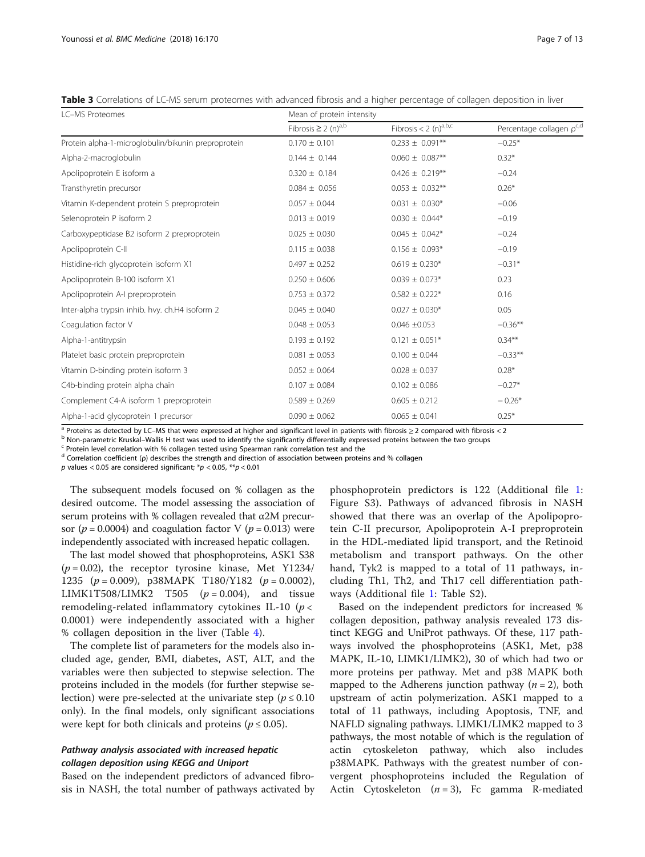<span id="page-6-0"></span>Table 3 Correlations of LC-MS serum proteomes with advanced fibrosis and a higher percentage of collagen deposition in liver

| <b>LC-MS Proteomes</b>                              | Mean of protein intensity            |                                     |                          |  |
|-----------------------------------------------------|--------------------------------------|-------------------------------------|--------------------------|--|
|                                                     | Fibrosis $\geq 2$ (n) <sup>a,b</sup> | Fibrosis $< 2$ (n) <sup>a,b,c</sup> | Percentage collagen pc,d |  |
| Protein alpha-1-microglobulin/bikunin preproprotein | $0.170 \pm 0.101$                    | $0.233 \pm 0.091**$                 | $-0.25*$                 |  |
| Alpha-2-macroglobulin                               | $0.144 \pm 0.144$                    | $0.060 \pm 0.087**$                 | $0.32*$                  |  |
| Apolipoprotein E isoform a                          | $0.320 \pm 0.184$                    | $0.426 \pm 0.219**$                 | $-0.24$                  |  |
| Transthyretin precursor                             | $0.084 \pm 0.056$                    | $0.053 \pm 0.032**$                 | $0.26*$                  |  |
| Vitamin K-dependent protein S preproprotein         | $0.057 \pm 0.044$                    | $0.031 \pm 0.030*$                  | $-0.06$                  |  |
| Selenoprotein P isoform 2                           | $0.013 \pm 0.019$                    | $0.030 \pm 0.044*$                  | $-0.19$                  |  |
| Carboxypeptidase B2 isoform 2 preproprotein         | $0.025 \pm 0.030$                    | $0.045 \pm 0.042^*$                 | $-0.24$                  |  |
| Apolipoprotein C-II                                 | $0.115 \pm 0.038$                    | $0.156 \pm 0.093*$                  | $-0.19$                  |  |
| Histidine-rich glycoprotein isoform X1              | $0.497 \pm 0.252$                    | $0.619 \pm 0.230*$                  | $-0.31*$                 |  |
| Apolipoprotein B-100 isoform X1                     | $0.250 \pm 0.606$                    | $0.039 \pm 0.073*$                  | 0.23                     |  |
| Apolipoprotein A-I preproprotein                    | $0.753 \pm 0.372$                    | $0.582 \pm 0.222*$                  | 0.16                     |  |
| Inter-alpha trypsin inhib. hvy. ch.H4 isoform 2     | $0.045 \pm 0.040$                    | $0.027 \pm 0.030*$                  | 0.05                     |  |
| Coagulation factor V                                | $0.048 \pm 0.053$                    | $0.046 \pm 0.053$                   | $-0.36**$                |  |
| Alpha-1-antitrypsin                                 | $0.193 \pm 0.192$                    | $0.121 \pm 0.051*$                  | $0.34***$                |  |
| Platelet basic protein preproprotein                | $0.081 \pm 0.053$                    | $0.100 \pm 0.044$                   | $-0.33**$                |  |
| Vitamin D-binding protein isoform 3                 | $0.052 \pm 0.064$                    | $0.028 \pm 0.037$                   | $0.28*$                  |  |
| C4b-binding protein alpha chain                     | $0.107 \pm 0.084$                    | $0.102 \pm 0.086$                   | $-0.27*$                 |  |
| Complement C4-A isoform 1 preproprotein             | $0.589 \pm 0.269$                    | $0.605 \pm 0.212$                   | $-0.26*$                 |  |
| Alpha-1-acid glycoprotein 1 precursor               | $0.090 \pm 0.062$                    | $0.065 \pm 0.041$                   | $0.25*$                  |  |

<sup>a</sup> Proteins as detected by LC–MS that were expressed at higher and significant level in patients with fibrosis  $\geq 2$  compared with fibrosis < 2<br><sup>b</sup> Non-parametric Kruskal–Wallis H test was used to identify the signific

<sup>d</sup> Correlation coefficient (ρ) describes the strength and direction of association between proteins and % collagen

p values < 0.05 are considered significant;  $* p < 0.05$ ,  $** p < 0.01$ 

The subsequent models focused on % collagen as the desired outcome. The model assessing the association of serum proteins with % collagen revealed that  $\alpha$ 2M precursor ( $p = 0.0004$ ) and coagulation factor V ( $p = 0.013$ ) were independently associated with increased hepatic collagen.

The last model showed that phosphoproteins, ASK1 S38  $(p = 0.02)$ , the receptor tyrosine kinase, Met Y1234/ 1235 ( $p = 0.009$ ), p38MAPK T180/Y182 ( $p = 0.0002$ ), LIMK1T508/LIMK2 T505 ( $p = 0.004$ ), and tissue remodeling-related inflammatory cytokines IL-10 ( $p$  < 0.0001) were independently associated with a higher % collagen deposition in the liver (Table [4](#page-7-0)).

The complete list of parameters for the models also included age, gender, BMI, diabetes, AST, ALT, and the variables were then subjected to stepwise selection. The proteins included in the models (for further stepwise selection) were pre-selected at the univariate step ( $p \le 0.10$ ) only). In the final models, only significant associations were kept for both clinicals and proteins ( $p \le 0.05$ ).

### Pathway analysis associated with increased hepatic collagen deposition using KEGG and Uniport

Based on the independent predictors of advanced fibrosis in NASH, the total number of pathways activated by

phosphoprotein predictors is 122 (Additional file [1](#page-11-0): Figure S3). Pathways of advanced fibrosis in NASH showed that there was an overlap of the Apolipoprotein C-II precursor, Apolipoprotein A-I preproprotein in the HDL-mediated lipid transport, and the Retinoid metabolism and transport pathways. On the other hand, Tyk2 is mapped to a total of 11 pathways, including Th1, Th2, and Th17 cell differentiation pathways (Additional file [1](#page-11-0): Table S2).

Based on the independent predictors for increased % collagen deposition, pathway analysis revealed 173 distinct KEGG and UniProt pathways. Of these, 117 pathways involved the phosphoproteins (ASK1, Met, p38 MAPK, IL-10, LIMK1/LIMK2), 30 of which had two or more proteins per pathway. Met and p38 MAPK both mapped to the Adherens junction pathway  $(n = 2)$ , both upstream of actin polymerization. ASK1 mapped to a total of 11 pathways, including Apoptosis, TNF, and NAFLD signaling pathways. LIMK1/LIMK2 mapped to 3 pathways, the most notable of which is the regulation of actin cytoskeleton pathway, which also includes p38MAPK. Pathways with the greatest number of convergent phosphoproteins included the Regulation of Actin Cytoskeleton  $(n = 3)$ , Fc gamma R-mediated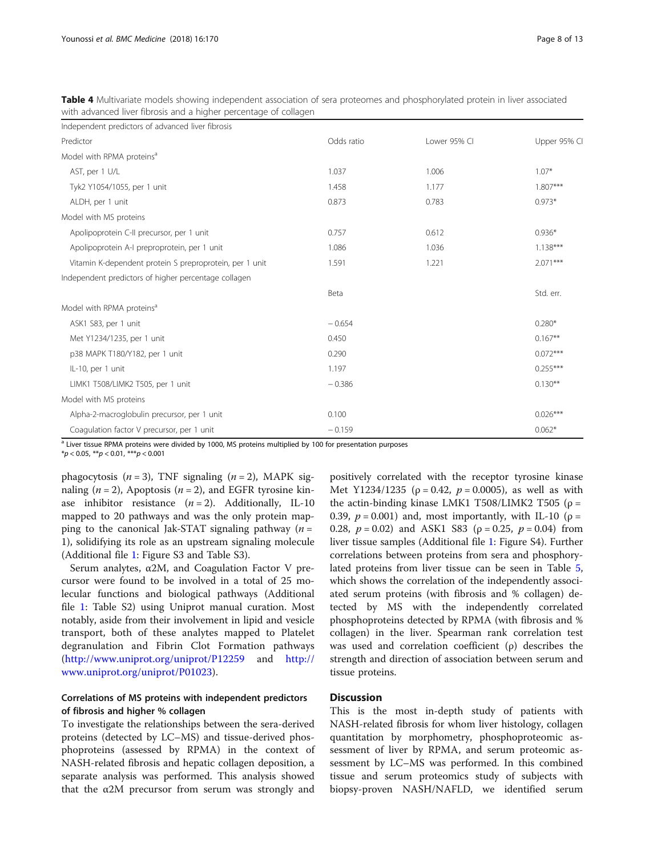<span id="page-7-0"></span>Table 4 Multivariate models showing independent association of sera proteomes and phosphorylated protein in liver associated with advanced liver fibrosis and a higher percentage of collagen

| Independent predictors of advanced liver fibrosis       |            |              |              |
|---------------------------------------------------------|------------|--------------|--------------|
| Predictor                                               | Odds ratio | Lower 95% CI | Upper 95% CI |
| Model with RPMA proteins <sup>a</sup>                   |            |              |              |
| AST, per 1 U/L                                          | 1.037      | 1.006        | $1.07*$      |
| Tyk2 Y1054/1055, per 1 unit                             | 1.458      | 1.177        | $1.807***$   |
| ALDH, per 1 unit                                        | 0.873      | 0.783        | $0.973*$     |
| Model with MS proteins                                  |            |              |              |
| Apolipoprotein C-II precursor, per 1 unit               | 0.757      | 0.612        | $0.936*$     |
| Apolipoprotein A-I preproprotein, per 1 unit            | 1.086      | 1.036        | $1.138***$   |
| Vitamin K-dependent protein S preproprotein, per 1 unit | 1.591      | 1.221        | $2.071***$   |
| Independent predictors of higher percentage collagen    |            |              |              |
|                                                         | Beta       |              | Std. err.    |
| Model with RPMA proteins <sup>a</sup>                   |            |              |              |
| ASK1 S83, per 1 unit                                    | $-0.654$   |              | $0.280*$     |
| Met Y1234/1235, per 1 unit                              | 0.450      |              | $0.167**$    |
| p38 MAPK T180/Y182, per 1 unit                          | 0.290      |              | $0.072***$   |
| IL-10, per 1 unit                                       | 1.197      |              | $0.255***$   |
| LIMK1 T508/LIMK2 T505, per 1 unit                       | $-0.386$   |              | $0.130***$   |
| Model with MS proteins                                  |            |              |              |
| Alpha-2-macroglobulin precursor, per 1 unit             | 0.100      |              | $0.026***$   |
| Coagulation factor V precursor, per 1 unit              | $-0.159$   |              | $0.062*$     |

<sup>a</sup> Liver tissue RPMA proteins were divided by 1000, MS proteins multiplied by 100 for presentation purposes

 $*p < 0.05$ ,  $**p < 0.01$ ,  $**p < 0.001$ 

phagocytosis  $(n = 3)$ , TNF signaling  $(n = 2)$ , MAPK signaling ( $n = 2$ ), Apoptosis ( $n = 2$ ), and EGFR tyrosine kinase inhibitor resistance  $(n = 2)$ . Additionally, IL-10 mapped to 20 pathways and was the only protein mapping to the canonical Jak-STAT signaling pathway  $(n =$ 1), solidifying its role as an upstream signaling molecule (Additional file [1](#page-11-0): Figure S3 and Table S3).

Serum analytes, α2M, and Coagulation Factor V precursor were found to be involved in a total of 25 molecular functions and biological pathways (Additional file [1:](#page-11-0) Table S2) using Uniprot manual curation. Most notably, aside from their involvement in lipid and vesicle transport, both of these analytes mapped to Platelet degranulation and Fibrin Clot Formation pathways (<http://www.uniprot.org/uniprot/P12259> and [http://](http://www.uniprot.org/uniprot/P01023) [www.uniprot.org/uniprot/P01023\)](http://www.uniprot.org/uniprot/P01023).

### Correlations of MS proteins with independent predictors of fibrosis and higher % collagen

To investigate the relationships between the sera-derived proteins (detected by LC–MS) and tissue-derived phosphoproteins (assessed by RPMA) in the context of NASH-related fibrosis and hepatic collagen deposition, a separate analysis was performed. This analysis showed that the  $α2M$  precursor from serum was strongly and

positively correlated with the receptor tyrosine kinase Met Y1234/1235 ( $\rho = 0.42$ ,  $p = 0.0005$ ), as well as with the actin-binding kinase LMK1 T508/LIMK2 T505 ( $\rho$  = 0.39,  $p = 0.001$ ) and, most importantly, with IL-10 ( $p =$ 0.28,  $p = 0.02$ ) and ASK1 S83 ( $\rho = 0.25$ ,  $p = 0.04$ ) from liver tissue samples (Additional file [1:](#page-11-0) Figure S4). Further correlations between proteins from sera and phosphorylated proteins from liver tissue can be seen in Table [5](#page-8-0), which shows the correlation of the independently associated serum proteins (with fibrosis and % collagen) detected by MS with the independently correlated phosphoproteins detected by RPMA (with fibrosis and % collagen) in the liver. Spearman rank correlation test was used and correlation coefficient (ρ) describes the strength and direction of association between serum and tissue proteins.

### **Discussion**

This is the most in-depth study of patients with NASH-related fibrosis for whom liver histology, collagen quantitation by morphometry, phosphoproteomic assessment of liver by RPMA, and serum proteomic assessment by LC–MS was performed. In this combined tissue and serum proteomics study of subjects with biopsy-proven NASH/NAFLD, we identified serum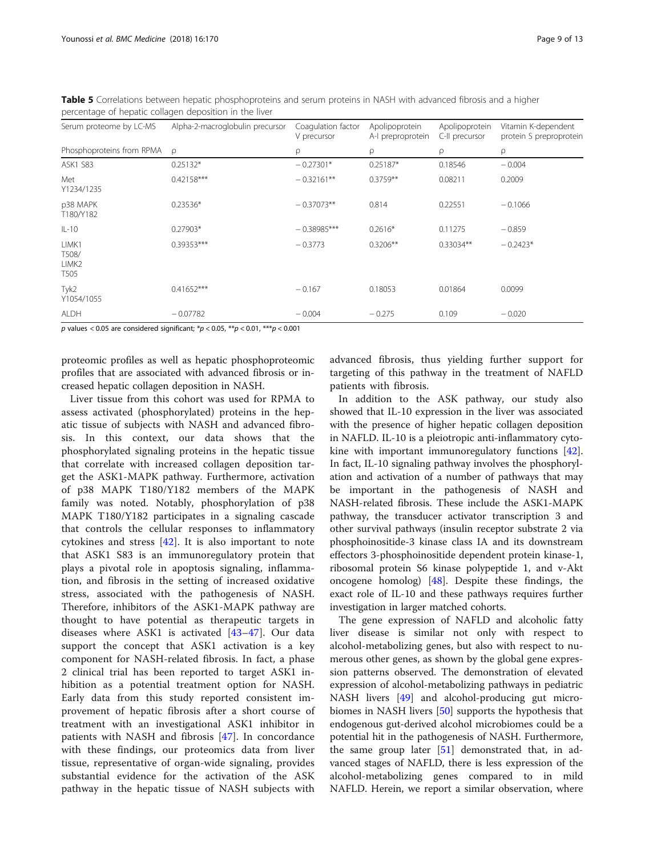| Serum proteome by LC-MS                     | Alpha-2-macroglobulin precursor | Coagulation factor<br>V precursor | Apolipoprotein<br>A-I preproprotein | Apolipoprotein<br>C-II precursor | Vitamin K-dependent<br>protein S preproprotein |
|---------------------------------------------|---------------------------------|-----------------------------------|-------------------------------------|----------------------------------|------------------------------------------------|
| Phosphoproteins from RPMA                   | $\Omega$                        | ρ                                 | ρ                                   | ρ                                | ρ                                              |
| <b>ASK1 S83</b>                             | $0.25132*$                      | $-0.27301*$                       | $0.25187*$                          | 0.18546                          | $-0.004$                                       |
| Met<br>Y1234/1235                           | 0.42158***                      | $-0.32161**$                      | $0.3759**$                          | 0.08211                          | 0.2009                                         |
| p38 MAPK<br>T180/Y182                       | $0.23536*$                      | $-0.37073**$                      | 0.814                               | 0.22551                          | $-0.1066$                                      |
| $IL-10$                                     | $0.27903*$                      | $-0.38985***$                     | $0.2616*$                           | 0.11275                          | $-0.859$                                       |
| LIMK1<br>T508/<br>LIMK <sub>2</sub><br>T505 | 0.39353***                      | $-0.3773$                         | $0.3206**$                          | $0.33034**$                      | $-0.2423*$                                     |
| Tyk2<br>Y1054/1055                          | $0.41652***$                    | $-0.167$                          | 0.18053                             | 0.01864                          | 0.0099                                         |
| <b>ALDH</b>                                 | $-0.07782$                      | $-0.004$                          | $-0.275$                            | 0.109                            | $-0.020$                                       |

<span id="page-8-0"></span>Table 5 Correlations between hepatic phosphoproteins and serum proteins in NASH with advanced fibrosis and a higher percentage of hepatic collagen deposition in the liver

p values < 0.05 are considered significant;  $*p < 0.05$ ,  $**p < 0.01$ ,  $***p < 0.001$ 

proteomic profiles as well as hepatic phosphoproteomic profiles that are associated with advanced fibrosis or increased hepatic collagen deposition in NASH.

Liver tissue from this cohort was used for RPMA to assess activated (phosphorylated) proteins in the hepatic tissue of subjects with NASH and advanced fibrosis. In this context, our data shows that the phosphorylated signaling proteins in the hepatic tissue that correlate with increased collagen deposition target the ASK1-MAPK pathway. Furthermore, activation of p38 MAPK T180/Y182 members of the MAPK family was noted. Notably, phosphorylation of p38 MAPK T180/Y182 participates in a signaling cascade that controls the cellular responses to inflammatory cytokines and stress [[42\]](#page-12-0). It is also important to note that ASK1 S83 is an immunoregulatory protein that plays a pivotal role in apoptosis signaling, inflammation, and fibrosis in the setting of increased oxidative stress, associated with the pathogenesis of NASH. Therefore, inhibitors of the ASK1-MAPK pathway are thought to have potential as therapeutic targets in diseases where ASK1 is activated [[43](#page-12-0)–[47\]](#page-12-0). Our data support the concept that ASK1 activation is a key component for NASH-related fibrosis. In fact, a phase 2 clinical trial has been reported to target ASK1 inhibition as a potential treatment option for NASH. Early data from this study reported consistent improvement of hepatic fibrosis after a short course of treatment with an investigational ASK1 inhibitor in patients with NASH and fibrosis [[47\]](#page-12-0). In concordance with these findings, our proteomics data from liver tissue, representative of organ-wide signaling, provides substantial evidence for the activation of the ASK pathway in the hepatic tissue of NASH subjects with

advanced fibrosis, thus yielding further support for targeting of this pathway in the treatment of NAFLD patients with fibrosis.

In addition to the ASK pathway, our study also showed that IL-10 expression in the liver was associated with the presence of higher hepatic collagen deposition in NAFLD. IL-10 is a pleiotropic anti-inflammatory cytokine with important immunoregulatory functions [\[42](#page-12-0)]. In fact, IL-10 signaling pathway involves the phosphorylation and activation of a number of pathways that may be important in the pathogenesis of NASH and NASH-related fibrosis. These include the ASK1-MAPK pathway, the transducer activator transcription 3 and other survival pathways (insulin receptor substrate 2 via phosphoinositide-3 kinase class IA and its downstream effectors 3-phosphoinositide dependent protein kinase-1, ribosomal protein S6 kinase polypeptide 1, and v-Akt oncogene homolog) [[48\]](#page-12-0). Despite these findings, the exact role of IL-10 and these pathways requires further investigation in larger matched cohorts.

The gene expression of NAFLD and alcoholic fatty liver disease is similar not only with respect to alcohol-metabolizing genes, but also with respect to numerous other genes, as shown by the global gene expression patterns observed. The demonstration of elevated expression of alcohol-metabolizing pathways in pediatric NASH livers [\[49](#page-12-0)] and alcohol-producing gut microbiomes in NASH livers [[50\]](#page-12-0) supports the hypothesis that endogenous gut-derived alcohol microbiomes could be a potential hit in the pathogenesis of NASH. Furthermore, the same group later  $[51]$  $[51]$  demonstrated that, in advanced stages of NAFLD, there is less expression of the alcohol-metabolizing genes compared to in mild NAFLD. Herein, we report a similar observation, where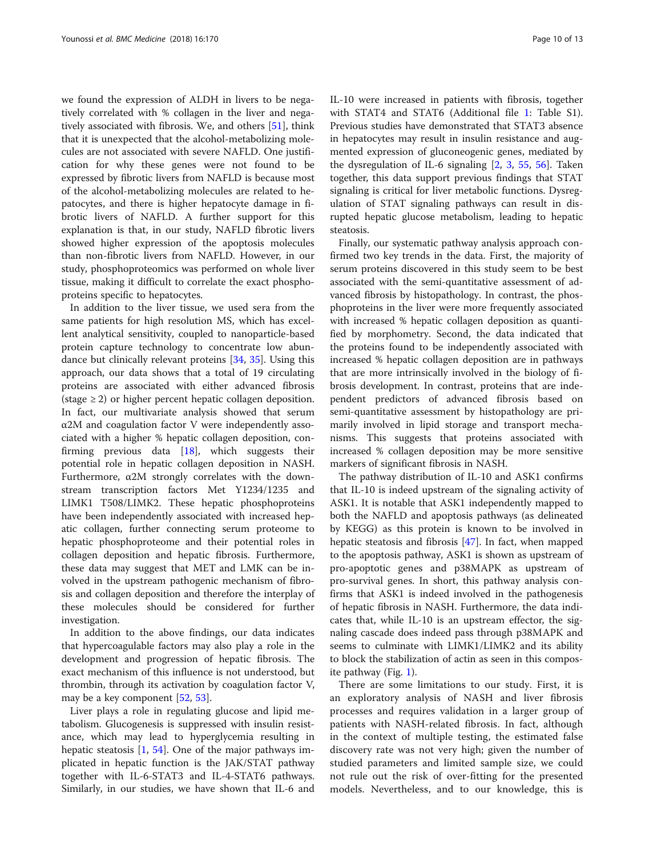we found the expression of ALDH in livers to be negatively correlated with % collagen in the liver and negatively associated with fibrosis. We, and others [[51\]](#page-12-0), think that it is unexpected that the alcohol-metabolizing molecules are not associated with severe NAFLD. One justification for why these genes were not found to be expressed by fibrotic livers from NAFLD is because most of the alcohol-metabolizing molecules are related to hepatocytes, and there is higher hepatocyte damage in fibrotic livers of NAFLD. A further support for this explanation is that, in our study, NAFLD fibrotic livers showed higher expression of the apoptosis molecules than non-fibrotic livers from NAFLD. However, in our study, phosphoproteomics was performed on whole liver tissue, making it difficult to correlate the exact phosphoproteins specific to hepatocytes.

In addition to the liver tissue, we used sera from the same patients for high resolution MS, which has excellent analytical sensitivity, coupled to nanoparticle-based protein capture technology to concentrate low abundance but clinically relevant proteins [\[34](#page-12-0), [35](#page-12-0)]. Using this approach, our data shows that a total of 19 circulating proteins are associated with either advanced fibrosis  $(\text{stage} \geq 2)$  or higher percent hepatic collagen deposition. In fact, our multivariate analysis showed that serum α2M and coagulation factor V were independently associated with a higher % hepatic collagen deposition, confirming previous data [[18\]](#page-12-0), which suggests their potential role in hepatic collagen deposition in NASH. Furthermore, α2M strongly correlates with the downstream transcription factors Met Y1234/1235 and LIMK1 T508/LIMK2. These hepatic phosphoproteins have been independently associated with increased hepatic collagen, further connecting serum proteome to hepatic phosphoproteome and their potential roles in collagen deposition and hepatic fibrosis. Furthermore, these data may suggest that MET and LMK can be involved in the upstream pathogenic mechanism of fibrosis and collagen deposition and therefore the interplay of these molecules should be considered for further investigation.

In addition to the above findings, our data indicates that hypercoagulable factors may also play a role in the development and progression of hepatic fibrosis. The exact mechanism of this influence is not understood, but thrombin, through its activation by coagulation factor V, may be a key component [[52](#page-12-0), [53](#page-12-0)].

Liver plays a role in regulating glucose and lipid metabolism. Glucogenesis is suppressed with insulin resistance, which may lead to hyperglycemia resulting in hepatic steatosis  $[1, 54]$  $[1, 54]$  $[1, 54]$ . One of the major pathways implicated in hepatic function is the JAK/STAT pathway together with IL-6-STAT3 and IL-4-STAT6 pathways. Similarly, in our studies, we have shown that IL-6 and IL-10 were increased in patients with fibrosis, together with STAT4 and STAT6 (Additional file [1](#page-11-0): Table S1). Previous studies have demonstrated that STAT3 absence in hepatocytes may result in insulin resistance and augmented expression of gluconeogenic genes, mediated by the dysregulation of IL-6 signaling [[2,](#page-11-0) [3,](#page-11-0) [55,](#page-12-0) [56\]](#page-12-0). Taken together, this data support previous findings that STAT signaling is critical for liver metabolic functions. Dysregulation of STAT signaling pathways can result in disrupted hepatic glucose metabolism, leading to hepatic steatosis.

Finally, our systematic pathway analysis approach confirmed two key trends in the data. First, the majority of serum proteins discovered in this study seem to be best associated with the semi-quantitative assessment of advanced fibrosis by histopathology. In contrast, the phosphoproteins in the liver were more frequently associated with increased % hepatic collagen deposition as quantified by morphometry. Second, the data indicated that the proteins found to be independently associated with increased % hepatic collagen deposition are in pathways that are more intrinsically involved in the biology of fibrosis development. In contrast, proteins that are independent predictors of advanced fibrosis based on semi-quantitative assessment by histopathology are primarily involved in lipid storage and transport mechanisms. This suggests that proteins associated with increased % collagen deposition may be more sensitive markers of significant fibrosis in NASH.

The pathway distribution of IL-10 and ASK1 confirms that IL-10 is indeed upstream of the signaling activity of ASK1. It is notable that ASK1 independently mapped to both the NAFLD and apoptosis pathways (as delineated by KEGG) as this protein is known to be involved in hepatic steatosis and fibrosis [[47](#page-12-0)]. In fact, when mapped to the apoptosis pathway, ASK1 is shown as upstream of pro-apoptotic genes and p38MAPK as upstream of pro-survival genes. In short, this pathway analysis confirms that ASK1 is indeed involved in the pathogenesis of hepatic fibrosis in NASH. Furthermore, the data indicates that, while IL-10 is an upstream effector, the signaling cascade does indeed pass through p38MAPK and seems to culminate with LIMK1/LIMK2 and its ability to block the stabilization of actin as seen in this composite pathway (Fig. [1](#page-10-0)).

There are some limitations to our study. First, it is an exploratory analysis of NASH and liver fibrosis processes and requires validation in a larger group of patients with NASH-related fibrosis. In fact, although in the context of multiple testing, the estimated false discovery rate was not very high; given the number of studied parameters and limited sample size, we could not rule out the risk of over-fitting for the presented models. Nevertheless, and to our knowledge, this is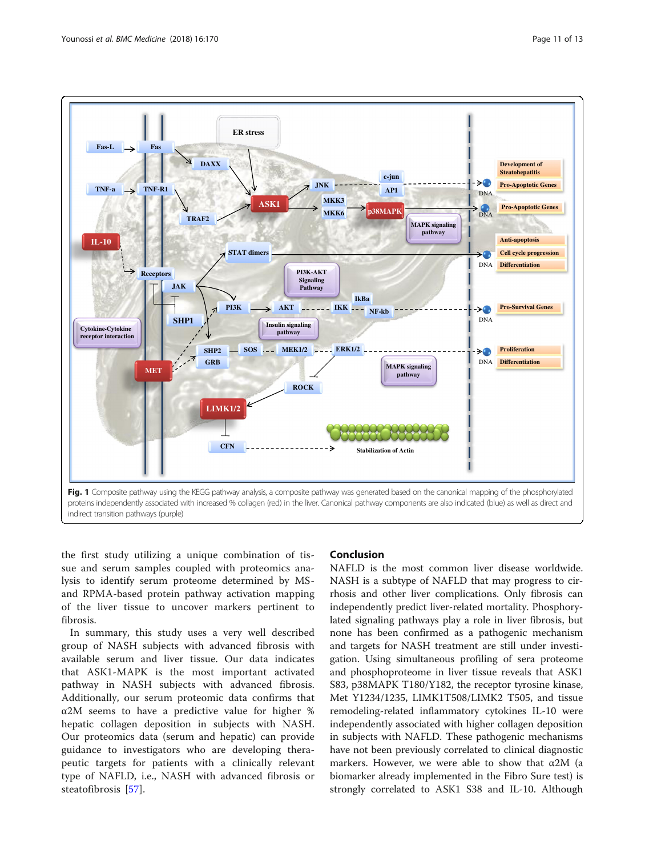<span id="page-10-0"></span>

the first study utilizing a unique combination of tissue and serum samples coupled with proteomics analysis to identify serum proteome determined by MSand RPMA-based protein pathway activation mapping of the liver tissue to uncover markers pertinent to fibrosis.

In summary, this study uses a very well described group of NASH subjects with advanced fibrosis with available serum and liver tissue. Our data indicates that ASK1-MAPK is the most important activated pathway in NASH subjects with advanced fibrosis. Additionally, our serum proteomic data confirms that α2M seems to have a predictive value for higher % hepatic collagen deposition in subjects with NASH. Our proteomics data (serum and hepatic) can provide guidance to investigators who are developing therapeutic targets for patients with a clinically relevant type of NAFLD, i.e., NASH with advanced fibrosis or steatofibrosis [[57\]](#page-12-0).

### Conclusion

NAFLD is the most common liver disease worldwide. NASH is a subtype of NAFLD that may progress to cirrhosis and other liver complications. Only fibrosis can independently predict liver-related mortality. Phosphorylated signaling pathways play a role in liver fibrosis, but none has been confirmed as a pathogenic mechanism and targets for NASH treatment are still under investigation. Using simultaneous profiling of sera proteome and phosphoproteome in liver tissue reveals that ASK1 S83, p38MAPK T180/Y182, the receptor tyrosine kinase, Met Y1234/1235, LIMK1T508/LIMK2 T505, and tissue remodeling-related inflammatory cytokines IL-10 were independently associated with higher collagen deposition in subjects with NAFLD. These pathogenic mechanisms have not been previously correlated to clinical diagnostic markers. However, we were able to show that  $\alpha$ 2M (a biomarker already implemented in the Fibro Sure test) is strongly correlated to ASK1 S38 and IL-10. Although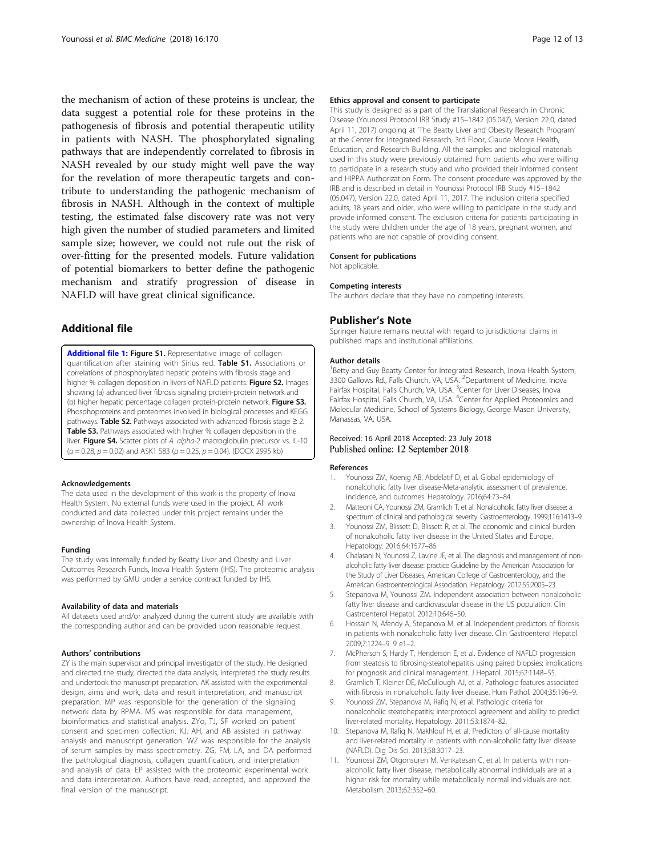<span id="page-11-0"></span>the mechanism of action of these proteins is unclear, the data suggest a potential role for these proteins in the pathogenesis of fibrosis and potential therapeutic utility in patients with NASH. The phosphorylated signaling pathways that are independently correlated to fibrosis in NASH revealed by our study might well pave the way for the revelation of more therapeutic targets and contribute to understanding the pathogenic mechanism of fibrosis in NASH. Although in the context of multiple testing, the estimated false discovery rate was not very high given the number of studied parameters and limited sample size; however, we could not rule out the risk of over-fitting for the presented models. Future validation of potential biomarkers to better define the pathogenic mechanism and stratify progression of disease in NAFLD will have great clinical significance.

### Additional file

[Additional file 1:](https://doi.org/10.1186/s12916-018-1136-1) Figure S1. Representative image of collagen quantification after staining with Sirius red. Table S1. Associations or correlations of phosphorylated hepatic proteins with fibrosis stage and higher % collagen deposition in livers of NAFLD patients. Figure S2. Images showing (a) advanced liver fibrosis signaling protein-protein network and (b) higher hepatic percentage collagen protein-protein network. Figure S3. Phosphoproteins and proteomes involved in biological processes and KEGG pathways. Table S2. Pathways associated with advanced fibrosis stage  $\geq$  2. Table S3. Pathways associated with higher % collagen deposition in the liver. Figure S4. Scatter plots of A. alpha-2 macroglobulin precursor vs. IL-10  $(p = 0.28, p = 0.02)$  and ASK1 S83  $(p = 0.25, p = 0.04)$ . (DOCX 2995 kb)

#### Acknowledgements

The data used in the development of this work is the property of Inova Health System. No external funds were used in the project. All work conducted and data collected under this project remains under the ownership of Inova Health System.

#### Funding

The study was internally funded by Beatty Liver and Obesity and Liver Outcomes Research Funds, Inova Health System (IHS). The proteomic analysis was performed by GMU under a service contract funded by IHS.

#### Availability of data and materials

All datasets used and/or analyzed during the current study are available with the corresponding author and can be provided upon reasonable request.

#### Authors' contributions

ZY is the main supervisor and principal investigator of the study. He designed and directed the study, directed the data analysis, interpreted the study results and undertook the manuscript preparation. AK assisted with the experimental design, aims and work, data and result interpretation, and manuscript preparation. MP was responsible for the generation of the signaling network data by RPMA. MS was responsible for data management, bioinformatics and statistical analysis. ZYo, TJ, SF worked on patient' consent and specimen collection. KJ, AH, and AB assisted in pathway analysis and manuscript generation. WZ was responsible for the analysis of serum samples by mass spectrometry. ZG, FM, LA, and DA performed the pathological diagnosis, collagen quantification, and interpretation and analysis of data. EP assisted with the proteomic experimental work and data interpretation. Authors have read, accepted, and approved the final version of the manuscript.

#### Ethics approval and consent to participate

This study is designed as a part of the Translational Research in Chronic Disease (Younossi Protocol IRB Study #15–1842 (05.047), Version 22.0, dated April 11, 2017) ongoing at 'The Beatty Liver and Obesity Research Program' at the Center for Integrated Research, 3rd Floor, Claude Moore Health, Education, and Research Building. All the samples and biological materials used in this study were previously obtained from patients who were willing to participate in a research study and who provided their informed consent and HIPPA Authorization Form. The consent procedure was approved by the IRB and is described in detail in Younossi Protocol IRB Study #15–1842 (05.047), Version 22.0, dated April 11, 2017. The inclusion criteria specified adults, 18 years and older, who were willing to participate in the study and provide informed consent. The exclusion criteria for patients participating in the study were children under the age of 18 years, pregnant women, and patients who are not capable of providing consent.

#### Consent for publications

Not applicable.

#### Competing interests

The authors declare that they have no competing interests.

#### Publisher's Note

Springer Nature remains neutral with regard to jurisdictional claims in published maps and institutional affiliations.

#### Author details

<sup>1</sup> Betty and Guy Beatty Center for Integrated Research, Inova Health System, 3300 Gallows Rd., Falls Church, VA, USA. <sup>2</sup> Department of Medicine, Inova Fairfax Hospital, Falls Church, VA, USA. <sup>3</sup>Center for Liver Diseases, Inova Fairfax Hospital, Falls Church, VA, USA. <sup>4</sup>Center for Applied Proteomics and Molecular Medicine, School of Systems Biology, George Mason University, Manassas, VA, USA.

### Received: 16 April 2018 Accepted: 23 July 2018 Published online: 12 September 2018

#### References

- 1. Younossi ZM, Koenig AB, Abdelatif D, et al. Global epidemiology of nonalcoholic fatty liver disease-Meta-analytic assessment of prevalence, incidence, and outcomes. Hepatology. 2016;64:73–84.
- 2. Matteoni CA, Younossi ZM, Gramlich T, et al. Nonalcoholic fatty liver disease: a spectrum of clinical and pathological severity. Gastroenterology. 1999;116:1413–9.
- 3. Younossi ZM, Blissett D, Blissett R, et al. The economic and clinical burden of nonalcoholic fatty liver disease in the United States and Europe. Hepatology. 2016;64:1577–86.
- 4. Chalasani N, Younossi Z, Lavine JE, et al. The diagnosis and management of nonalcoholic fatty liver disease: practice Guideline by the American Association for the Study of Liver Diseases, American College of Gastroenterology, and the American Gastroenterological Association. Hepatology. 2012;55:2005–23.
- 5. Stepanova M, Younossi ZM. Independent association between nonalcoholic fatty liver disease and cardiovascular disease in the US population. Clin Gastroenterol Hepatol. 2012;10:646–50.
- 6. Hossain N, Afendy A, Stepanova M, et al. Independent predictors of fibrosis in patients with nonalcoholic fatty liver disease. Clin Gastroenterol Hepatol. 2009;7:1224–9. 9 e1–2.
- 7. McPherson S, Hardy T, Henderson E, et al. Evidence of NAFLD progression from steatosis to fibrosing-steatohepatitis using paired biopsies: implications for prognosis and clinical management. J Hepatol. 2015;62:1148–55.
- 8. Gramlich T, Kleiner DE, McCullough AJ, et al. Pathologic features associated with fibrosis in nonalcoholic fatty liver disease. Hum Pathol. 2004;35:196–9.
- Younossi ZM, Stepanova M, Rafiq N, et al. Pathologic criteria for nonalcoholic steatohepatitis: interprotocol agreement and ability to predict liver-related mortality. Hepatology. 2011;53:1874–82.
- 10. Stepanova M, Rafiq N, Makhlouf H, et al. Predictors of all-cause mortality and liver-related mortality in patients with non-alcoholic fatty liver disease (NAFLD). Dig Dis Sci. 2013;58:3017–23.
- 11. Younossi ZM, Otgonsuren M, Venkatesan C, et al. In patients with nonalcoholic fatty liver disease, metabolically abnormal individuals are at a higher risk for mortality while metabolically normal individuals are not. Metabolism. 2013;62:352–60.